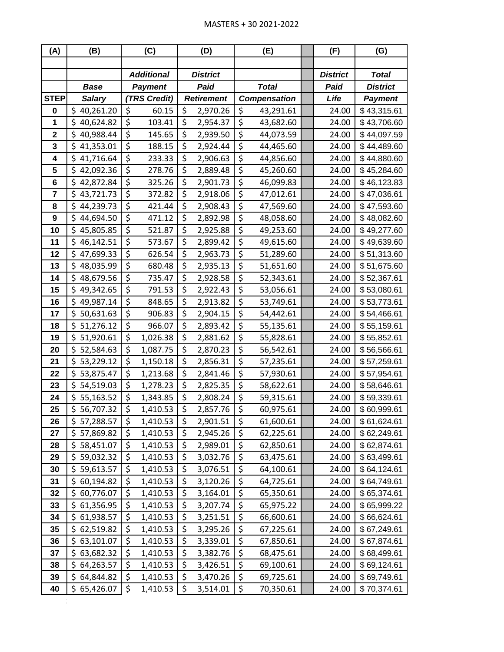| (A)                     | (B)             | (C)                          |                                 | (D)               |                        | (E)                 |  | (F)             | (G)             |
|-------------------------|-----------------|------------------------------|---------------------------------|-------------------|------------------------|---------------------|--|-----------------|-----------------|
|                         |                 |                              |                                 |                   |                        |                     |  |                 |                 |
|                         |                 | <b>Additional</b>            | <b>District</b>                 |                   |                        |                     |  | <b>District</b> | <b>Total</b>    |
|                         | <b>Base</b>     | <b>Payment</b>               |                                 | Paid              |                        | <b>Total</b>        |  | Paid            | <b>District</b> |
| <b>STEP</b>             | <b>Salary</b>   | TRS Credit)                  |                                 | <b>Retirement</b> |                        | <b>Compensation</b> |  | Life            | <b>Payment</b>  |
| 0                       | \$<br>40,261.20 | \$<br>60.15                  | \$                              | 2,970.26          | \$                     | 43,291.61           |  | 24.00           | \$43,315.61     |
| 1                       | \$<br>40,624.82 | \$<br>103.41                 | \$                              | 2,954.37          | \$                     | 43,682.60           |  | 24.00           | \$43,706.60     |
| $\mathbf 2$             | \$<br>40,988.44 | \$<br>145.65                 | \$                              | 2,939.50          | \$                     | 44,073.59           |  | 24.00           | \$44,097.59     |
| $\mathbf{3}$            | \$<br>41,353.01 | \$<br>188.15                 | \$                              | 2,924.44          | \$                     | 44,465.60           |  | 24.00           | \$44,489.60     |
| 4                       | \$<br>41,716.64 | \$<br>233.33                 | \$                              | 2,906.63          | \$                     | 44,856.60           |  | 24.00           | \$44,880.60     |
| 5                       | \$<br>42,092.36 | \$<br>278.76                 | \$                              | 2,889.48          | \$                     | 45,260.60           |  | 24.00           | \$45,284.60     |
| 6                       | \$<br>42,872.84 | \$<br>325.26                 | \$                              | 2,901.73          | $\overline{\xi}$       | 46,099.83           |  | 24.00           | \$46,123.83     |
| $\overline{\mathbf{7}}$ | \$<br>43,721.73 | \$<br>372.82                 | \$                              | 2,918.06          | \$                     | 47,012.61           |  | 24.00           | \$47,036.61     |
| 8                       | \$<br>44,239.73 | \$<br>421.44                 | \$                              | 2,908.43          | \$                     | 47,569.60           |  | 24.00           | \$47,593.60     |
| 9                       | \$<br>44,694.50 | \$<br>471.12                 | \$                              | 2,892.98          | \$                     | 48,058.60           |  | 24.00           | \$48,082.60     |
| 10                      | \$<br>45,805.85 | \$<br>521.87                 | \$                              | 2,925.88          | \$                     | 49,253.60           |  | 24.00           | \$49,277.60     |
| 11                      | \$<br>46,142.51 | \$<br>573.67                 | \$                              | 2,899.42          | \$                     | 49,615.60           |  | 24.00           | \$49,639.60     |
| 12                      | \$<br>47,699.33 | \$<br>626.54                 | \$                              | 2,963.73          | \$                     | 51,289.60           |  | 24.00           | \$51,313.60     |
| 13                      | \$<br>48,035.99 | \$<br>680.48                 | \$                              | 2,935.13          | $\overline{\varsigma}$ | 51,651.60           |  | 24.00           | \$51,675.60     |
| 14                      | \$<br>48,679.56 | \$<br>735.47                 | \$                              | 2,928.58          | \$                     | 52,343.61           |  | 24.00           | \$52,367.61     |
| 15                      | \$<br>49,342.65 | \$<br>791.53                 | \$                              | 2,922.43          | \$                     | 53,056.61           |  | 24.00           | \$53,080.61     |
| 16                      | \$<br>49,987.14 | $\overline{\xi}$<br>848.65   | \$                              | 2,913.82          | $\overline{\xi}$       | 53,749.61           |  | 24.00           | \$53,773.61     |
| 17                      | \$<br>50,631.63 | \$<br>906.83                 | \$                              | 2,904.15          | \$                     | 54,442.61           |  | 24.00           | \$54,466.61     |
| 18                      | \$<br>51,276.12 | \$<br>966.07                 | \$                              | 2,893.42          | \$                     | 55,135.61           |  | 24.00           | \$55,159.61     |
| 19                      | \$<br>51,920.61 | \$<br>1,026.38               | \$                              | 2,881.62          | \$                     | 55,828.61           |  | 24.00           | \$55,852.61     |
| 20                      | \$<br>52,584.63 | \$<br>1,087.75               | \$                              | 2,870.23          | \$                     | 56,542.61           |  | 24.00           | \$56,566.61     |
| 21                      | \$<br>53,229.12 | \$<br>1,150.18               | \$                              | 2,856.31          | \$                     | 57,235.61           |  | 24.00           | \$57,259.61     |
| 22                      | \$<br>53,875.47 | \$<br>1,213.68               | \$                              | 2,841.46          | \$                     | 57,930.61           |  | 24.00           | \$57,954.61     |
| 23                      | \$<br>54,519.03 | \$<br>1,278.23               | \$                              | 2,825.35          | \$                     | 58,622.61           |  | 24.00           | \$58,646.61     |
| 24                      | \$<br>55,163.52 | \$<br>1,343.85               | \$                              | 2,808.24          | \$                     | 59,315.61           |  | 24.00           | \$59,339.61     |
| 25                      | \$<br>56,707.32 | $\overline{\xi}$<br>1,410.53 | $\overline{\boldsymbol{\zeta}}$ | 2,857.76          | $\overline{\xi}$       | 60,975.61           |  | 24.00           | \$60,999.61     |
| 26                      | \$57,288.57     | \$<br>1,410.53               | \$                              | 2,901.51          | \$                     | 61,600.61           |  | 24.00           | \$61,624.61     |
| 27                      | \$57,869.82     | \$<br>1,410.53               | \$                              | 2,945.26          | \$                     | 62,225.61           |  | 24.00           | \$62,249.61     |
| 28                      | \$58,451.07     | \$<br>1,410.53               | \$                              | 2,989.01          | \$                     | 62,850.61           |  | 24.00           | \$62,874.61     |
| 29                      | \$<br>59,032.32 | \$<br>1,410.53               | \$                              | 3,032.76          | \$                     | 63,475.61           |  | 24.00           | \$63,499.61     |
| 30                      | \$<br>59,613.57 | \$<br>1,410.53               | \$                              | 3,076.51          | \$                     | 64,100.61           |  | 24.00           | \$64,124.61     |
| 31                      | \$<br>60,194.82 | \$<br>1,410.53               | \$                              | 3,120.26          | \$                     | 64,725.61           |  | 24.00           | \$64,749.61     |
| 32                      | \$<br>60,776.07 | \$<br>1,410.53               | \$                              | 3,164.01          | \$                     | 65,350.61           |  | 24.00           | \$65,374.61     |
| 33                      | \$<br>61,356.95 | \$<br>1,410.53               | \$                              | 3,207.74          | \$                     | 65,975.22           |  | 24.00           | \$65,999.22     |
| 34                      | \$<br>61,938.57 | \$<br>1,410.53               | \$                              | 3,251.51          | \$                     | 66,600.61           |  | 24.00           | \$66,624.61     |
| 35                      | \$<br>62,519.82 | \$<br>1,410.53               | \$                              | 3,295.26          | \$                     | 67,225.61           |  | 24.00           | \$67,249.61     |
| 36                      | \$<br>63,101.07 | \$<br>1,410.53               | \$                              | 3,339.01          | \$                     | 67,850.61           |  | 24.00           | \$67,874.61     |
| 37                      | \$<br>63,682.32 | \$<br>1,410.53               | \$                              | 3,382.76          | \$                     | 68,475.61           |  | 24.00           | \$68,499.61     |
| 38                      | \$<br>64,263.57 | \$<br>1,410.53               | \$                              | 3,426.51          | \$                     | 69,100.61           |  | 24.00           | \$69,124.61     |
| 39                      | \$<br>64,844.82 | \$<br>1,410.53               | \$                              | 3,470.26          | \$                     | 69,725.61           |  | 24.00           | \$69,749.61     |
| 40                      | \$<br>65,426.07 | \$<br>1,410.53               | \$                              | 3,514.01          | \$                     | 70,350.61           |  | 24.00           | \$70,374.61     |

dollar stipend they received during 2007-2007-2008 and an additional  $3625$  dollars as recurring salary.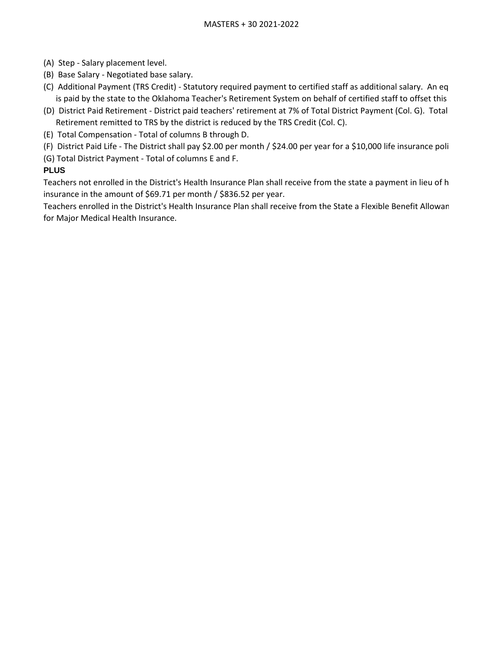- (A) Step Salary placement level.
- (B) Base Salary Negotiated base salary.
- (C) Additional Payment (TRS Credit) Statutory required payment to certified staff as additional salary. An eq is paid by the state to the Oklahoma Teacher's Retirement System on behalf of certified staff to offset this
- (D) District Paid Retirement District paid teachers' retirement at 7% of Total District Payment (Col. G). Total Retirement remitted to TRS by the district is reduced by the TRS Credit (Col. C).
- (E) Total Compensation Total of columns B through D.
- (F) District Paid Life The District shall pay \$2.00 per month / \$24.00 per year for a \$10,000 life insurance poli
- (G) Total District Payment Total of columns E and F.

## **PLUS**

Teachers not enrolled in the District's Health Insurance Plan shall receive from the state a payment in lieu of h insurance in the amount of \$69.71 per month / \$836.52 per year.

Teachers enrolled in the District's Health Insurance Plan shall receive from the State a Flexible Benefit Allowan for Major Medical Health Insurance.